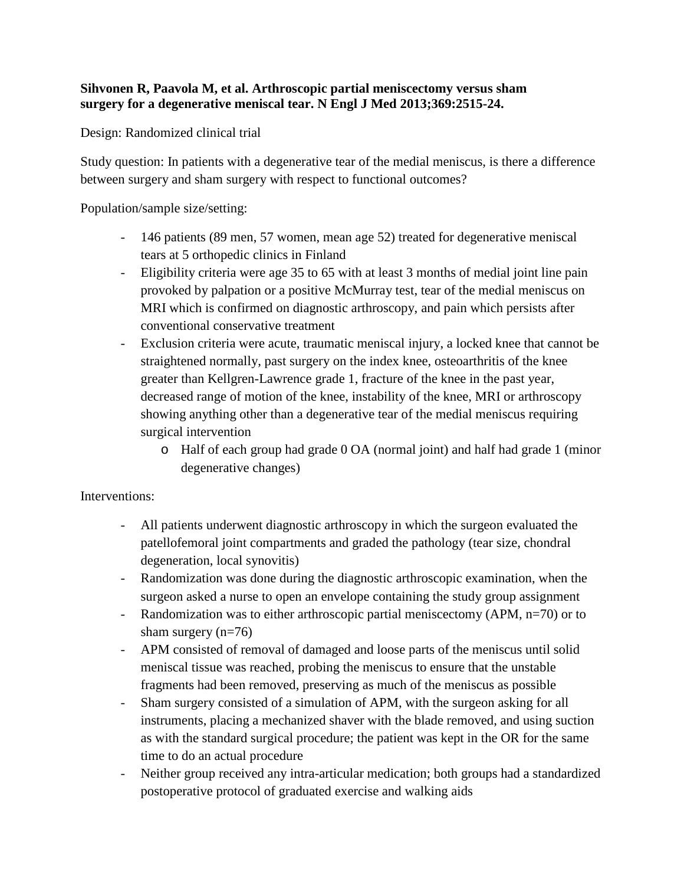## **Sihvonen R, Paavola M, et al. Arthroscopic partial meniscectomy versus sham surgery for a degenerative meniscal tear. N Engl J Med 2013;369:2515-24.**

Design: Randomized clinical trial

Study question: In patients with a degenerative tear of the medial meniscus, is there a difference between surgery and sham surgery with respect to functional outcomes?

Population/sample size/setting:

- 146 patients (89 men, 57 women, mean age 52) treated for degenerative meniscal tears at 5 orthopedic clinics in Finland
- Eligibility criteria were age 35 to 65 with at least 3 months of medial joint line pain provoked by palpation or a positive McMurray test, tear of the medial meniscus on MRI which is confirmed on diagnostic arthroscopy, and pain which persists after conventional conservative treatment
- Exclusion criteria were acute, traumatic meniscal injury, a locked knee that cannot be straightened normally, past surgery on the index knee, osteoarthritis of the knee greater than Kellgren-Lawrence grade 1, fracture of the knee in the past year, decreased range of motion of the knee, instability of the knee, MRI or arthroscopy showing anything other than a degenerative tear of the medial meniscus requiring surgical intervention
	- o Half of each group had grade 0 OA (normal joint) and half had grade 1 (minor degenerative changes)

## Interventions:

- All patients underwent diagnostic arthroscopy in which the surgeon evaluated the patellofemoral joint compartments and graded the pathology (tear size, chondral degeneration, local synovitis)
- Randomization was done during the diagnostic arthroscopic examination, when the surgeon asked a nurse to open an envelope containing the study group assignment
- Randomization was to either arthroscopic partial meniscectomy (APM, n=70) or to sham surgery (n=76)
- APM consisted of removal of damaged and loose parts of the meniscus until solid meniscal tissue was reached, probing the meniscus to ensure that the unstable fragments had been removed, preserving as much of the meniscus as possible
- Sham surgery consisted of a simulation of APM, with the surgeon asking for all instruments, placing a mechanized shaver with the blade removed, and using suction as with the standard surgical procedure; the patient was kept in the OR for the same time to do an actual procedure
- Neither group received any intra-articular medication; both groups had a standardized postoperative protocol of graduated exercise and walking aids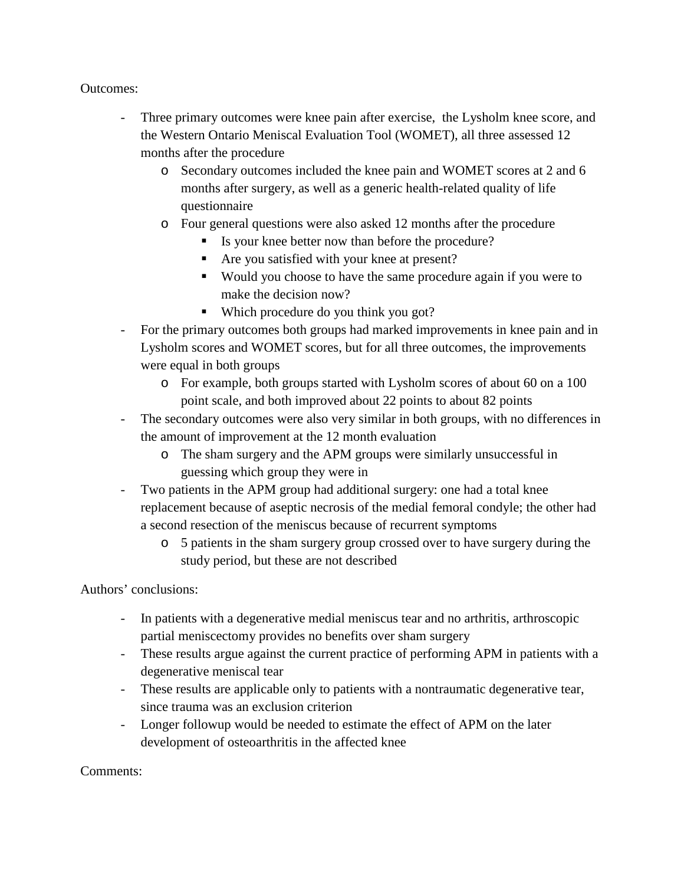## Outcomes:

- Three primary outcomes were knee pain after exercise, the Lysholm knee score, and the Western Ontario Meniscal Evaluation Tool (WOMET), all three assessed 12 months after the procedure
	- o Secondary outcomes included the knee pain and WOMET scores at 2 and 6 months after surgery, as well as a generic health-related quality of life questionnaire
	- o Four general questions were also asked 12 months after the procedure
		- Is your knee better now than before the procedure?
		- Are you satisfied with your knee at present?
		- Would you choose to have the same procedure again if you were to make the decision now?
		- Which procedure do you think you got?
- For the primary outcomes both groups had marked improvements in knee pain and in Lysholm scores and WOMET scores, but for all three outcomes, the improvements were equal in both groups
	- o For example, both groups started with Lysholm scores of about 60 on a 100 point scale, and both improved about 22 points to about 82 points
- The secondary outcomes were also very similar in both groups, with no differences in the amount of improvement at the 12 month evaluation
	- o The sham surgery and the APM groups were similarly unsuccessful in guessing which group they were in
- Two patients in the APM group had additional surgery: one had a total knee replacement because of aseptic necrosis of the medial femoral condyle; the other had a second resection of the meniscus because of recurrent symptoms
	- o 5 patients in the sham surgery group crossed over to have surgery during the study period, but these are not described

Authors' conclusions:

- In patients with a degenerative medial meniscus tear and no arthritis, arthroscopic partial meniscectomy provides no benefits over sham surgery
- These results argue against the current practice of performing APM in patients with a degenerative meniscal tear
- These results are applicable only to patients with a nontraumatic degenerative tear, since trauma was an exclusion criterion
- Longer followup would be needed to estimate the effect of APM on the later development of osteoarthritis in the affected knee

Comments: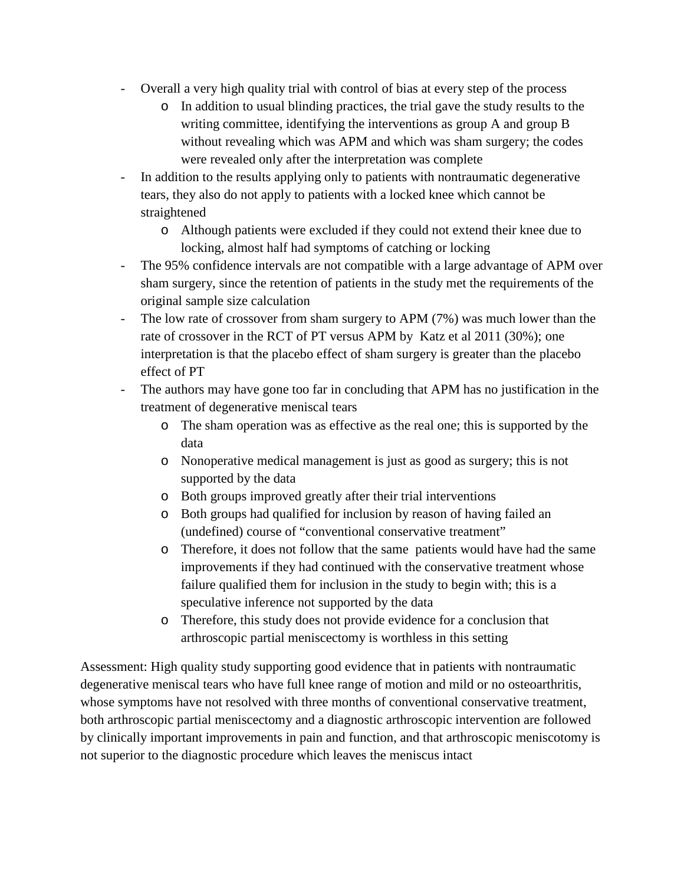- Overall a very high quality trial with control of bias at every step of the process
	- o In addition to usual blinding practices, the trial gave the study results to the writing committee, identifying the interventions as group A and group B without revealing which was APM and which was sham surgery; the codes were revealed only after the interpretation was complete
- In addition to the results applying only to patients with nontraumatic degenerative tears, they also do not apply to patients with a locked knee which cannot be straightened
	- o Although patients were excluded if they could not extend their knee due to locking, almost half had symptoms of catching or locking
- The 95% confidence intervals are not compatible with a large advantage of APM over sham surgery, since the retention of patients in the study met the requirements of the original sample size calculation
- The low rate of crossover from sham surgery to APM (7%) was much lower than the rate of crossover in the RCT of PT versus APM by Katz et al 2011 (30%); one interpretation is that the placebo effect of sham surgery is greater than the placebo effect of PT
- The authors may have gone too far in concluding that APM has no justification in the treatment of degenerative meniscal tears
	- o The sham operation was as effective as the real one; this is supported by the data
	- o Nonoperative medical management is just as good as surgery; this is not supported by the data
	- o Both groups improved greatly after their trial interventions
	- o Both groups had qualified for inclusion by reason of having failed an (undefined) course of "conventional conservative treatment"
	- o Therefore, it does not follow that the same patients would have had the same improvements if they had continued with the conservative treatment whose failure qualified them for inclusion in the study to begin with; this is a speculative inference not supported by the data
	- o Therefore, this study does not provide evidence for a conclusion that arthroscopic partial meniscectomy is worthless in this setting

Assessment: High quality study supporting good evidence that in patients with nontraumatic degenerative meniscal tears who have full knee range of motion and mild or no osteoarthritis, whose symptoms have not resolved with three months of conventional conservative treatment, both arthroscopic partial meniscectomy and a diagnostic arthroscopic intervention are followed by clinically important improvements in pain and function, and that arthroscopic meniscotomy is not superior to the diagnostic procedure which leaves the meniscus intact